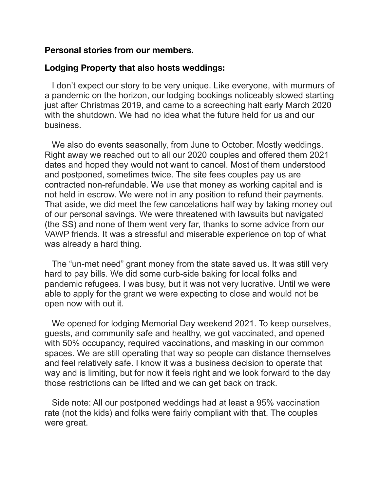## **Personal stories from our members.**

## **Lodging Property that also hosts weddings:**

 I don't expect our story to be very unique. Like everyone, with murmurs of a pandemic on the horizon, our lodging bookings noticeably slowed starting just after Christmas 2019, and came to a screeching halt early March 2020 with the shutdown. We had no idea what the future held for us and our business.

 We also do events seasonally, from June to October. Mostly weddings. Right away we reached out to all our 2020 couples and offered them 2021 dates and hoped they would not want to cancel. Most of them understood and postponed, sometimes twice. The site fees couples pay us are contracted non-refundable. We use that money as working capital and is not held in escrow. We were not in any position to refund their payments. That aside, we did meet the few cancelations half way by taking money out of our personal savings. We were threatened with lawsuits but navigated (the SS) and none of them went very far, thanks to some advice from our VAWP friends. It was a stressful and miserable experience on top of what was already a hard thing.

 The "un-met need" grant money from the state saved us. It was still very hard to pay bills. We did some curb-side baking for local folks and pandemic refugees. I was busy, but it was not very lucrative. Until we were able to apply for the grant we were expecting to close and would not be open now with out it.

 We opened for lodging Memorial Day weekend 2021. To keep ourselves, guests, and community safe and healthy, we got vaccinated, and opened with 50% occupancy, required vaccinations, and masking in our common spaces. We are still operating that way so people can distance themselves and feel relatively safe. I know it was a business decision to operate that way and is limiting, but for now it feels right and we look forward to the day those restrictions can be lifted and we can get back on track.

 Side note: All our postponed weddings had at least a 95% vaccination rate (not the kids) and folks were fairly compliant with that. The couples were great.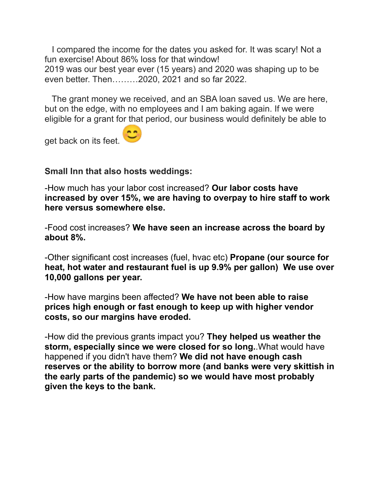I compared the income for the dates you asked for. It was scary! Not a fun exercise! About 86% loss for that window! 2019 was our best year ever (15 years) and 2020 was shaping up to be even better. Then………2020, 2021 and so far 2022.

 The grant money we received, and an SBA loan saved us. We are here, but on the edge, with no employees and I am baking again. If we were eligible for a grant for that period, our business would definitely be able to

get back on its feet.

## **Small Inn that also hosts weddings:**

-How much has your labor cost increased? **Our labor costs have increased by over 15%, we are having to overpay to hire staff to work here versus somewhere else.**

-Food cost increases? **We have seen an increase across the board by about 8%.**

-Other significant cost increases (fuel, hvac etc) **Propane (our source for heat, hot water and restaurant fuel is up 9.9% per gallon) We use over 10,000 gallons per year.**

-How have margins been affected? **We have not been able to raise prices high enough or fast enough to keep up with higher vendor costs, so our margins have eroded.**

-How did the previous grants impact you? **They helped us weather the storm, especially since we were closed for so long.**.What would have happened if you didn't have them? **We did not have enough cash reserves or the ability to borrow more (and banks were very skittish in the early parts of the pandemic) so we would have most probably given the keys to the bank.**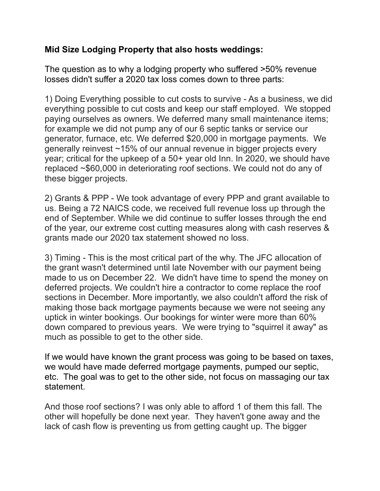## **Mid Size Lodging Property that also hosts weddings:**

The question as to why a lodging property who suffered >50% revenue losses didn't suffer a 2020 tax loss comes down to three parts:

1) Doing Everything possible to cut costs to survive - As a business, we did everything possible to cut costs and keep our staff employed. We stopped paying ourselves as owners. We deferred many small maintenance items; for example we did not pump any of our 6 septic tanks or service our generator, furnace, etc. We deferred \$20,000 in mortgage payments. We generally reinvest ~15% of our annual revenue in bigger projects every year; critical for the upkeep of a 50+ year old Inn. In 2020, we should have replaced ~\$60,000 in deteriorating roof sections. We could not do any of these bigger projects.

2) Grants & PPP - We took advantage of every PPP and grant available to us. Being a 72 NAICS code, we received full revenue loss up through the end of September. While we did continue to suffer losses through the end of the year, our extreme cost cutting measures along with cash reserves & grants made our 2020 tax statement showed no loss.

3) Timing - This is the most critical part of the why. The JFC allocation of the grant wasn't determined until late November with our payment being made to us on December 22. We didn't have time to spend the money on deferred projects. We couldn't hire a contractor to come replace the roof sections in December. More importantly, we also couldn't afford the risk of making those back mortgage payments because we were not seeing any uptick in winter bookings. Our bookings for winter were more than 60% down compared to previous years. We were trying to "squirrel it away" as much as possible to get to the other side.

If we would have known the grant process was going to be based on taxes, we would have made deferred mortgage payments, pumped our septic, etc. The goal was to get to the other side, not focus on massaging our tax statement.

And those roof sections? I was only able to afford 1 of them this fall. The other will hopefully be done next year. They haven't gone away and the lack of cash flow is preventing us from getting caught up. The bigger